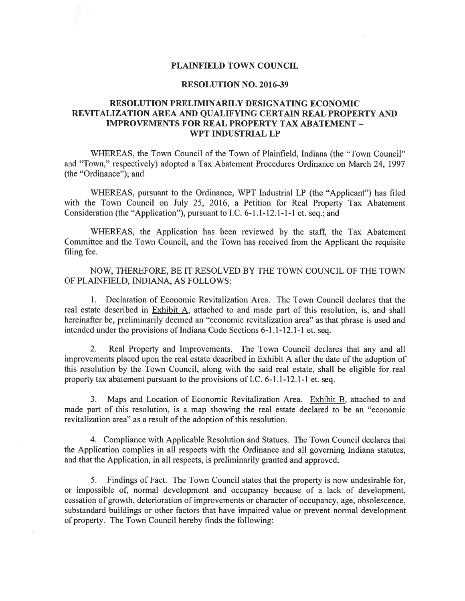## PLAINFIELD TOWN COUNCIL

## RESOLUTION NO. 2016-39

## RESOLUTION PRELIMINARILY DESIGNATING ECONOMIC REVITALIZATION AREA AND QUALIFYING CERTAIN REAL PROPERTY AND IMPROVEMENTS FOR REAL PROPERTY TAX ABATEMENT - WPT INDUSTRIAL LP

WHEREAS, the Town Council of the Town of Plainfield, Indiana (the "Town Council" and "Town," respectively) adopted <sup>a</sup> Tax Abatement Procedures Ordinance on March 24, 1997 (the "Ordinance"); and

WHEREAS, pursuan<sup>t</sup> to the Ordinance, WPT Industrial LP (the "Applicant") has filed with the Town Council on July 25, 2016, <sup>a</sup> Petition for Real Property Tax Abatement Consideration (the "Application"), pursuan<sup>t</sup> to I.C. 6-1.1-12.1-1-1 et. seq.; and

WHEREAS, the Application has been reviewed by the staff, the Tax Abatement Committee and the Town Council, and the Town has received from the Applicant the requisite filing fee.

NOW, THEREFORE, BE IT RESOLVED BY THE TOWN COUNCIL OF THE TOWN OF PLAINFIELD, INDIANA, AS FOLLOWS:

1. Declaration of Economic Revitalization Area. The Town Council declares that the real estate described in Exhibit A, attached to and made par<sup>t</sup> of this resolution, is, and shall hereinafter be, preliminarily deemed an "economic revitalization area" as that phrase is used and intended under the provisions of Indiana Code Sections 6-1.1-12.1-1 et. seq.

2. Real Property and Improvements. The Town Council declares that any and all improvements placed upon the real estate described in Exhibit A after the date of the adoption of this resolution by the Town Council, along with the said real estate, shall be eligible for real property tax abatement pursuan<sup>t</sup> to the provisions of I.C. 6-1.1-12.1-1 et. seq.

3. Maps and Location of Economic Revitalization Area. Exhibit B, attached to and made par<sup>t</sup> of this resolution, is <sup>a</sup> map showing the real estate declared to be an "economic revitalization area" as a result of the adoption of this resolution.

4. Compliance with Applicable Resolution and Statues. The Town Council declares that the Application complies in all respects with the Ordinance and all governing Indiana statutes, and that the Application, in all respects, is preliminarily granted and approved.

5. Findings of Fact. The Town Council states that the property is now undesirable for, or impossible of, normal development and occupancy because of <sup>a</sup> lack of development, cessation of growth, deterioration of improvements or character of occupancy, age, obsolescence, substandard buildings or other factors that have impaired value or preven<sup>t</sup> normal development of property. The Town Council hereby finds the following: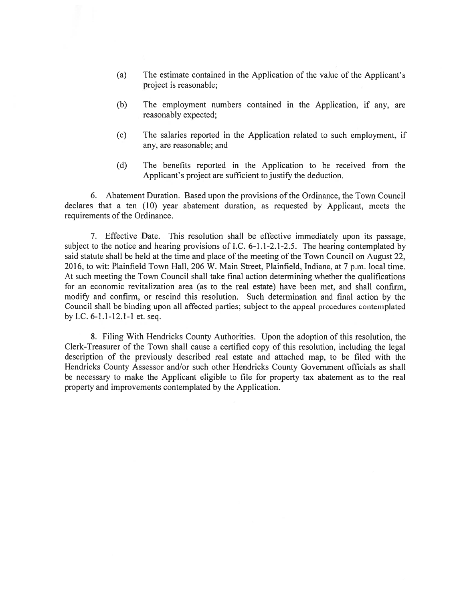- (a) The estimate contained in the Application of the value of the Applicant's project is reasonable;
- (b) The employment numbers contained in the Application, if any, are reasonably expected;
- (c) The salaries reported in the Application related to such employment, if any, are reasonable; and
- (d) The benefits reported in the Application to be received from the Applicant's project are sufficient to justify the deduction.

6. Abatement Duration. Based upon the provisions of the Ordinance, the Town Council declares that a ten (10) year abatement duration, as requested by Applicant, meets the requirements of the Ordinance.

7. Effective Date. This resolution shall be effective immediately upon its passage, subject to the notice and hearing provisions of I.C. 6-1.1-2.1-2.5. The hearing contemplated by said statute shall be held at the time and place of the meeting of the Town Council on August 22, 2016, to wit: Plainfield Town Hall, 206 W. Main Street, Plainfield, Indiana, at 7 p.m. local time. At such meeting the Town Council shall take final action determining whether the qualifications for an economic revitalization area (as to the real estate) have been met, and shall confirm, modify and confirm, or rescind this resolution. Such determination and final action by the Council shall be binding upon all affected parties; subject to the appeal procedures contemplated by I.C. 6-1.1-12.1-1 et. seq.

8. Filing With Hendricks County Authorities. Upon the adoption of this resolution, the Clerk-Treasurer of the Town shall cause <sup>a</sup> certified copy of this resolution, including the legal description of the previously described real estate and attached map, to be filed with the Hendricks County Assessor and/or such other Hendricks County Government officials as shall be necessary to make the Applicant eligible to fite for property tax abatement as to the real property and improvements contemplated by the Application.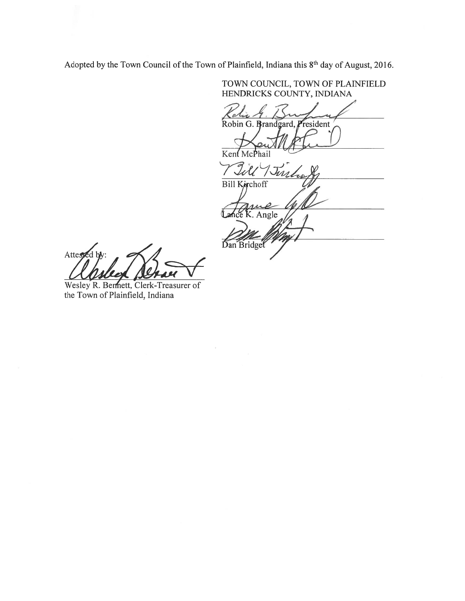Adopted by the Town Council of the Town of Plainfield, Indiana this 8<sup>th</sup> day of August, 2016.

TOWN COUNCIL, TOWN OF PLAINFIELD HENDRICKS COUNTY, INDIANA Robin G. Brandgard, President  $Ken$ Till Vin Bill Kirchoff  $\boldsymbol{\ell}$ Isa  $\overline{K}$ . Angle Dan Bridget

Attespe

Wesley R. Bermett, Clerk-Treasurer of the Town of Plainfield, Indiana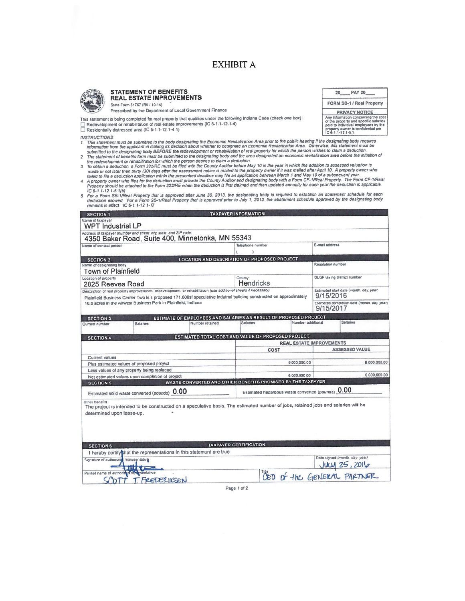# **EXHIBIT A**

PAY 20\_

FORM SB-1 / Real Property

**PRIVACY NOTICE** Any information concerning the cost<br>of the property and spocific salaries<br>paid to individual employees by the<br>property owner is confidential per<br>IC 6-1.1-12.1-5.1.

 $20$ <sub>-</sub>



#### STATEMENT OF BENEFITS **REAL ESTATE IMPROVEMENTS** State Form 51767 (R6 / 10-14)

Prescribed by the Department of Local Government Finance

This statement is being completed for real property that qualifies under the following Indiana Code (check one box): The development or rehabilitation of real estate improvements (IC 6-1.1-12.1-4)<br>  $\Box$  Residentially distressed area (IC 6-1.1-12.1-4.1)

**INSTRUCTIONS** 

- INSTRUCTIONS:<br>1. This statement must be submitted to the body designating the Economic Revitalization Area prior to the public hearing if the designating body requires<br>1. This statement must be submitted to the applicant i
- 
- 2. The statement of benefits form must be submitted to precession daim a deduction.<br>
the redevelopment or rehabilities of the metallic of the country Auditor before May 10 in the year in which the addition to assessed valu
- 
- or the control of the Property that is approved after June 30, 2013, the designating body is required to establish an abatement schedule for each for each determination ellowed. For a Form SB-1/Real Property that is approv

| <b>SECTION 1</b>                                                                        |                                                                                                                  |                                                                                                                                    | TAXPAYER INFORMATION                                                                                               |                                 |                                                      |                                                           |  |
|-----------------------------------------------------------------------------------------|------------------------------------------------------------------------------------------------------------------|------------------------------------------------------------------------------------------------------------------------------------|--------------------------------------------------------------------------------------------------------------------|---------------------------------|------------------------------------------------------|-----------------------------------------------------------|--|
| Name of taxpayer<br><b>WPT Industrial LP</b>                                            |                                                                                                                  |                                                                                                                                    |                                                                                                                    |                                 |                                                      |                                                           |  |
|                                                                                         | Address of taxpayer (number and street, city, state, and ZIP code                                                |                                                                                                                                    |                                                                                                                    |                                 |                                                      |                                                           |  |
|                                                                                         |                                                                                                                  | 4350 Baker Road, Suite 400, Minnetonka, MN 55343                                                                                   |                                                                                                                    |                                 |                                                      |                                                           |  |
| Name of contact person                                                                  |                                                                                                                  | Telephone number                                                                                                                   |                                                                                                                    | E-mail address                  |                                                      |                                                           |  |
|                                                                                         |                                                                                                                  |                                                                                                                                    |                                                                                                                    |                                 |                                                      |                                                           |  |
| <b>SECTION 2</b><br>Name of designating body                                            |                                                                                                                  | <b>LOCATION AND DESCRIPTION OF PROPOSED PROJECT</b>                                                                                |                                                                                                                    |                                 | Resolution number                                    |                                                           |  |
| <b>Town of Plainfield</b>                                                               |                                                                                                                  |                                                                                                                                    |                                                                                                                    |                                 |                                                      |                                                           |  |
| Location of property                                                                    |                                                                                                                  |                                                                                                                                    | County                                                                                                             |                                 |                                                      | <b>DLGF</b> taxing district number                        |  |
| 2825 Reeves Road                                                                        |                                                                                                                  |                                                                                                                                    | <b>Hendricks</b>                                                                                                   |                                 |                                                      |                                                           |  |
|                                                                                         | Description of real property improvements, redevelopment, or rehabilitation (use additional sheets if necessary) |                                                                                                                                    | Plainfield Business Center Two is a proposed 171,600sf speculative indutrial building constructed on approximately |                                 | Estimated start date (month, day, year)<br>9/15/2016 |                                                           |  |
| 10.6 acres in the Airwest Business Park In Plainfield, Indiana                          |                                                                                                                  |                                                                                                                                    |                                                                                                                    |                                 |                                                      | Estimated completion date (month, day, year)<br>9/15/2017 |  |
| <b>SECTION 3</b>                                                                        |                                                                                                                  | ESTIMATE OF EMPLOYEES AND SALARIES AS RESULT OF PROPOSED PROJECT                                                                   |                                                                                                                    |                                 |                                                      |                                                           |  |
| Current number                                                                          | Salaries                                                                                                         | Number retained                                                                                                                    | Salanes                                                                                                            | Number additional               |                                                      | <b>Salarios</b>                                           |  |
|                                                                                         |                                                                                                                  |                                                                                                                                    |                                                                                                                    |                                 |                                                      |                                                           |  |
| <b>SECTION 4</b>                                                                        |                                                                                                                  | ESTIMATED TOTAL COST AND VALUE OF PROPOSED PROJECT                                                                                 |                                                                                                                    |                                 |                                                      |                                                           |  |
|                                                                                         |                                                                                                                  |                                                                                                                                    |                                                                                                                    | <b>REAL ESTATE IMPROVEMENTS</b> |                                                      |                                                           |  |
|                                                                                         |                                                                                                                  |                                                                                                                                    | <b>COST</b>                                                                                                        |                                 |                                                      | <b>ASSESSED VALUE</b>                                     |  |
| Current values                                                                          |                                                                                                                  |                                                                                                                                    |                                                                                                                    | 6.000.000.00                    |                                                      | 6.000.000.00                                              |  |
| Plus estimated values of proposed project<br>Less values of any property being replaced |                                                                                                                  |                                                                                                                                    |                                                                                                                    |                                 |                                                      |                                                           |  |
|                                                                                         | Net estimated values upon completion of project                                                                  |                                                                                                                                    |                                                                                                                    | 6,000,000 00                    |                                                      | 6.000.000.00                                              |  |
| <b>SECTION 5</b>                                                                        |                                                                                                                  | WASTE CONVERTED AND OTHER BENEFITS PROMISED BY THE TAXPAYER                                                                        |                                                                                                                    |                                 |                                                      |                                                           |  |
| Estimated solid waste converted (pounds) 0.00                                           |                                                                                                                  |                                                                                                                                    | Estimated hazardous waste converted (pounds) 0.00                                                                  |                                 |                                                      |                                                           |  |
| Other banafits<br>determined upon lease-up.                                             |                                                                                                                  | The project is intended to be constructed on a speculative basis. The estimated number of jobs, retained jobs and salaries will be |                                                                                                                    |                                 |                                                      |                                                           |  |
| <b>SECTION 6</b>                                                                        |                                                                                                                  |                                                                                                                                    | <b>TAXPAYER CERTIFICATION</b>                                                                                      |                                 |                                                      |                                                           |  |
|                                                                                         |                                                                                                                  | I hereby certify that the representations in this statement are true                                                               |                                                                                                                    |                                 |                                                      |                                                           |  |
| Signature of authorized representative                                                  |                                                                                                                  |                                                                                                                                    |                                                                                                                    |                                 |                                                      | Date signed (month, day. year)                            |  |
|                                                                                         | 11165                                                                                                            |                                                                                                                                    |                                                                                                                    |                                 |                                                      |                                                           |  |
| Printed name of authorized repearentative                                               |                                                                                                                  |                                                                                                                                    |                                                                                                                    |                                 |                                                      | JULY 25, 2016                                             |  |
|                                                                                         | T. FREDERIKSEN                                                                                                   |                                                                                                                                    |                                                                                                                    |                                 |                                                      |                                                           |  |

Page 1 of 2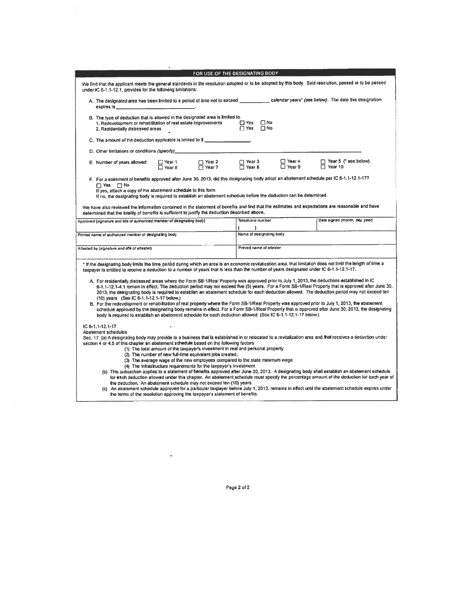| FOR USE OF THE DESIGNATING BODY                                                                                                                                                                                                                                                                                                                                                                                                                                                                                                                                                                                                                                                                                                                                                                                                                                                                                                                                                                                                                                                                                                                                                                                      |                                                                        |                                          |  |  |  |  |  |  |
|----------------------------------------------------------------------------------------------------------------------------------------------------------------------------------------------------------------------------------------------------------------------------------------------------------------------------------------------------------------------------------------------------------------------------------------------------------------------------------------------------------------------------------------------------------------------------------------------------------------------------------------------------------------------------------------------------------------------------------------------------------------------------------------------------------------------------------------------------------------------------------------------------------------------------------------------------------------------------------------------------------------------------------------------------------------------------------------------------------------------------------------------------------------------------------------------------------------------|------------------------------------------------------------------------|------------------------------------------|--|--|--|--|--|--|
| We find that the applicant meets the general standards in the resolution adopted or to be adopted by this body. Said resolution, passed or to be passed<br>under IC 6-1.1-12.1, provides for the following limitations:                                                                                                                                                                                                                                                                                                                                                                                                                                                                                                                                                                                                                                                                                                                                                                                                                                                                                                                                                                                              |                                                                        |                                          |  |  |  |  |  |  |
| A. The designated area has been limited to a period of time not to exceed ______________ calendar years" (see below). The date this designation<br>expires is ________                                                                                                                                                                                                                                                                                                                                                                                                                                                                                                                                                                                                                                                                                                                                                                                                                                                                                                                                                                                                                                               |                                                                        |                                          |  |  |  |  |  |  |
| B. The type of deduction that is allowed in the designated area is limited to:<br>$\Box$ Yes<br>$\Box$ No<br>1. Redevelopment or rehabilitation of real estate improvements<br>$\Box$ Yes $\Box$ No<br>2. Residentially distressed areas                                                                                                                                                                                                                                                                                                                                                                                                                                                                                                                                                                                                                                                                                                                                                                                                                                                                                                                                                                             |                                                                        |                                          |  |  |  |  |  |  |
| C. The amount of the deduction applicable is limited to \$                                                                                                                                                                                                                                                                                                                                                                                                                                                                                                                                                                                                                                                                                                                                                                                                                                                                                                                                                                                                                                                                                                                                                           |                                                                        |                                          |  |  |  |  |  |  |
| D. Other limitations or conditions (specify)_                                                                                                                                                                                                                                                                                                                                                                                                                                                                                                                                                                                                                                                                                                                                                                                                                                                                                                                                                                                                                                                                                                                                                                        |                                                                        |                                          |  |  |  |  |  |  |
| $\Box$ Year 2<br>$\Box$ Year 7<br>E. Number of years allowed:<br>$\Box$ Year 1<br>$\Box$ Year B                                                                                                                                                                                                                                                                                                                                                                                                                                                                                                                                                                                                                                                                                                                                                                                                                                                                                                                                                                                                                                                                                                                      | □ Year 4<br>$\Box$ Year 3<br>$\Box$ Year 8<br>$\overline{\Box}$ Year 9 | [ Year 5 (* see below)<br>$\Box$ Year 10 |  |  |  |  |  |  |
| F. For a statement of benefits approved after June 30, 2013, did this designating body adopt an abatement schedule per IC 6-1.1-12.1-17?<br>$\Box$ Yes $\Box$ No<br>If yes, attach a copy of the abatement schedule to this form.<br>If no, the designating body is required to establish an abatement schedule before the deduction can be determined.<br>We have also reviewed the information contained in the statement of benefits and find that the estimates and expectations are reasonable and have<br>determined that the totality of benefits is sufficient to justify the deduction described above.                                                                                                                                                                                                                                                                                                                                                                                                                                                                                                                                                                                                     |                                                                        |                                          |  |  |  |  |  |  |
| Approved (signature and bile of authorized member of designating body)                                                                                                                                                                                                                                                                                                                                                                                                                                                                                                                                                                                                                                                                                                                                                                                                                                                                                                                                                                                                                                                                                                                                               | Telephone number                                                       | Date signed (month, day, year)           |  |  |  |  |  |  |
| Printed name of authorized member of designating body                                                                                                                                                                                                                                                                                                                                                                                                                                                                                                                                                                                                                                                                                                                                                                                                                                                                                                                                                                                                                                                                                                                                                                | ۱<br>Name of designating body                                          |                                          |  |  |  |  |  |  |
|                                                                                                                                                                                                                                                                                                                                                                                                                                                                                                                                                                                                                                                                                                                                                                                                                                                                                                                                                                                                                                                                                                                                                                                                                      |                                                                        |                                          |  |  |  |  |  |  |
| Attested by (signature and title of attester)                                                                                                                                                                                                                                                                                                                                                                                                                                                                                                                                                                                                                                                                                                                                                                                                                                                                                                                                                                                                                                                                                                                                                                        | Printed name of attester                                               |                                          |  |  |  |  |  |  |
| * If the designating body limits the time period during which an area is an economic revitalization area. that limitation does not limit the length of time a<br>taxpayer is entitled to receive a deduction to a number of years that is less than the number of years designated under IC 6-1.1-12.1-17.                                                                                                                                                                                                                                                                                                                                                                                                                                                                                                                                                                                                                                                                                                                                                                                                                                                                                                           |                                                                        |                                          |  |  |  |  |  |  |
| A. For residentially distressed areas where the Form SB-1/Real Property was approved prior to July 1, 2013, the deductions established in IC<br>6-1.1-12.1-4.1 remain in effect. The deduction period may not exceed five (5) years. For a Form SB-1/Real Property that is approved after June 30,<br>2013, the designating body is required to establish an abatement schedule for each deduction allowed. The deduction period may not exceed ten<br>(10) years. (See IC 6-1.1-12.1-17 below.)<br>B. For the redevelopment or rehabilitation of real property where the Form SB-1/Real Property was approved prior to July 1, 2013, the abatement<br>schedule approved by the designating body remains in effect. For a Form SB-1/Real Property that is approved after June 30, 2013, the designating<br>body is required to establish an abatement schedule for each deduction allowed. (See IC 6-1.1-12.1-17 below.)                                                                                                                                                                                                                                                                                             |                                                                        |                                          |  |  |  |  |  |  |
| IC $6 - 1.1 - 12.1 - 17$<br>Abatement schedules<br>Sec. 17. (a) A designating body may provide to a business that is established in or relocated to a revitalization area and that receives a deduction under<br>section 4 or 4.5 of this chapter an abatement schedule based on the following factors:<br>(1) The total amount of the taxpayer's investment in real and personal property.<br>(2) The number of new full-time equivalent jobs created.<br>(3) The average wage of the new employees compared to the state minimum wage.<br>(4) The infrastructure requirements for the taxpayer's investment.<br>(b) This subsection applies to a statement of benefits approved after June 30, 2013. A designating body shall establish an abalement schedule<br>for each deduction allowed under this chapter. An abatement schedule must specify the percentage amount of the deduction for each year of<br>the deduction. An abatement schedule may not exceed ten (10) years.<br>(c) An abatement schedule approved for a particular taxpayer before July 1, 2013, remains in effect until the abatement schedule expires under<br>the terms of the resolution approving the taxpayer's statement of benefits. |                                                                        |                                          |  |  |  |  |  |  |

Page 2 of 2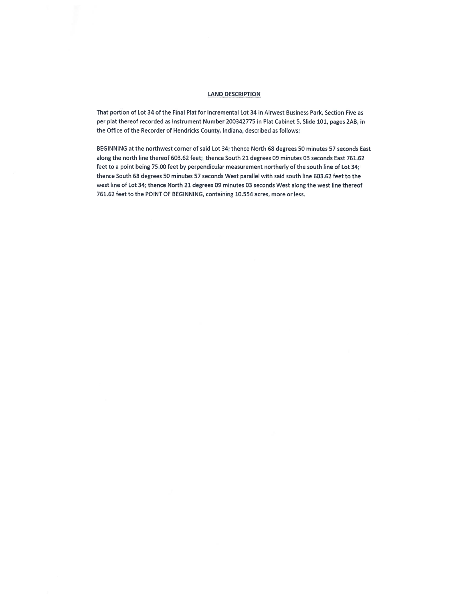### LAND DESCRIPTION

That portion of Lot 34 of the Final Plat for Incremental Lot 34 in Airwest Business Park, Section Five as per plat thereof recorded as Instrument Number 200342775 in Plat Cabinet 5, Slide 101, pages 2AB, in the Office of the Recorder of Hendricks County, Indiana, described as follows:

BEGINNING at the northwest corner of said Lot 34; thence North 68 degrees 50 minutes 57 seconds East along the north line thereof 603.62 feet; thence South 21 degrees 09 minutes 03 seconds East 761.62 feet to <sup>a</sup> point being 75.00 feet by perpendicular measurement northerly of the south line of Lot 34; thence South 6\$ degrees 50 minutes 57 seconds West parallel with said south line 603.62 feet to the west line of Lot 34; thence North 21 degrees 09 minutes 03 seconds West along the west line thereof 761.62 feet to the POINT OF BEGINNING, containing 10.554 acres, more or less.